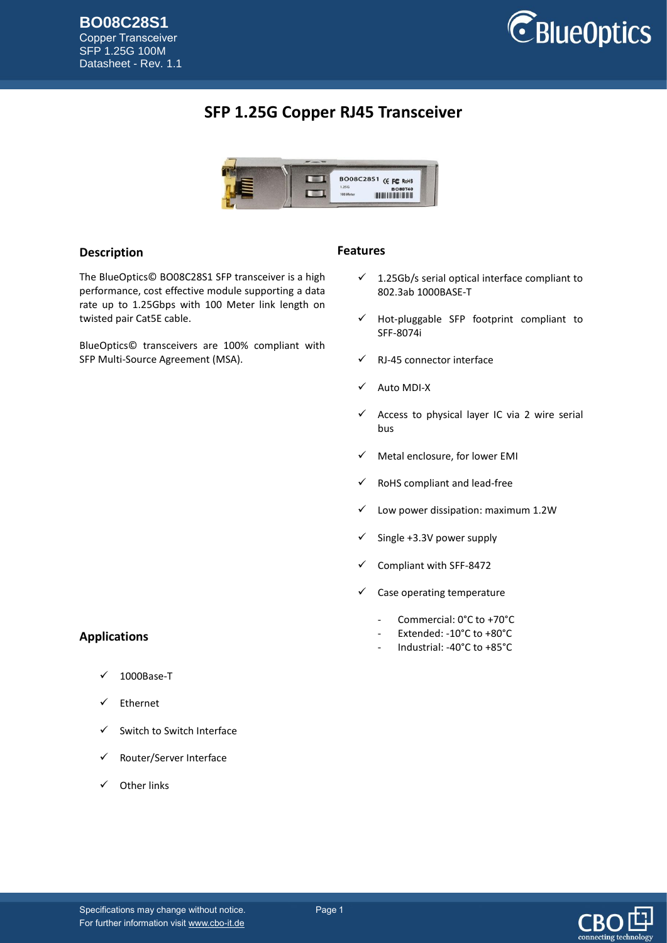SFP 1.25G 100M Datasheet - Rev. 1.1



## **SFP 1.25G Copper RJ45 Transceiver**



### **Description**

The BlueOptics© BO08C28S1 SFP transceiver is a high performance, cost effective module supporting a data rate up to 1.25Gbps with 100 Meter link length on twisted pair Cat5E cable.

BlueOptics© transceivers are 100% compliant with SFP Multi-Source Agreement (MSA).

#### **Features**

- $\checkmark$  1.25Gb/s serial optical interface compliant to 802.3ab 1000BASE-T
- $\checkmark$  Hot-pluggable SFP footprint compliant to SFF-8074i
- $\checkmark$  RJ-45 connector interface
- Auto MDI-X
- Access to physical layer IC via 2 wire serial bus
- $\checkmark$  Metal enclosure, for lower EMI
- $\checkmark$  RoHS compliant and lead-free
- $\checkmark$  Low power dissipation: maximum 1.2W
- $\checkmark$  Single +3.3V power supply
- Compliant with SFF-8472
- $\checkmark$  Case operating temperature
	- Commercial: 0°C to +70°C
	- Extended: -10°C to +80°C
	- Industrial: -40°C to +85°C

## **Applications**

- 1000Base-T
- Ethernet
- Switch to Switch Interface
- Router/Server Interface
- $\checkmark$  Other links

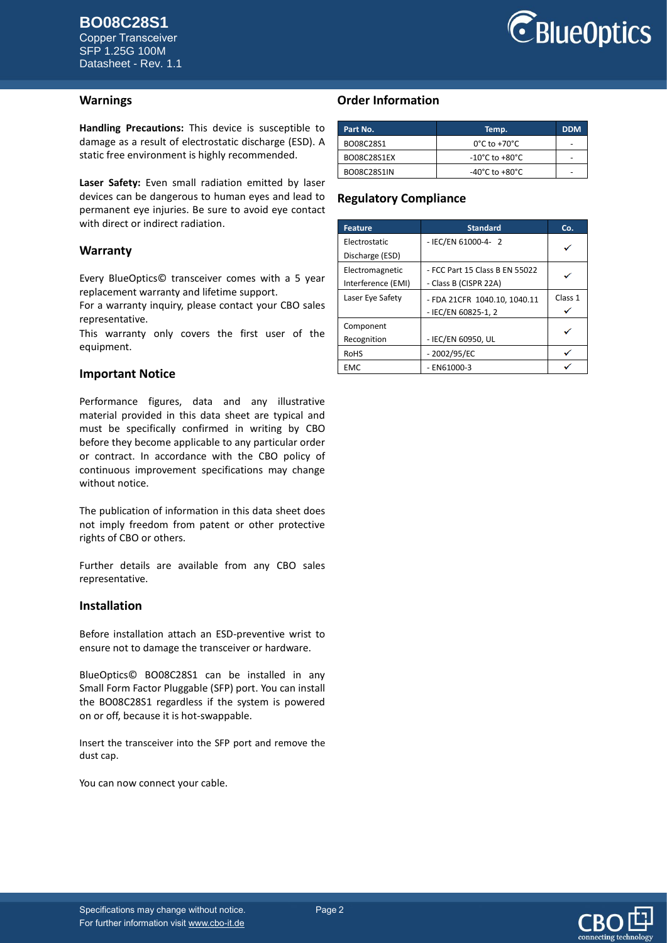Copper Transceiver SFP 1.25G 100M Datasheet - Rev. 1.1



### **Warnings**

**Handling Precautions:** This device is susceptible to damage as a result of electrostatic discharge (ESD). A static free environment is highly recommended.

**Laser Safety:** Even small radiation emitted by laser devices can be dangerous to human eyes and lead to permanent eye injuries. Be sure to avoid eye contact with direct or indirect radiation.

#### **Warranty**

Every BlueOptics© transceiver comes with a 5 year replacement warranty and lifetime support.

For a warranty inquiry, please contact your CBO sales representative.

This warranty only covers the first user of the equipment.

### **Important Notice**

Performance figures, data and any illustrative material provided in this data sheet are typical and must be specifically confirmed in writing by CBO before they become applicable to any particular order or contract. In accordance with the CBO policy of continuous improvement specifications may change without notice.

The publication of information in this data sheet does not imply freedom from patent or other protective rights of CBO or others.

Further details are available from any CBO sales representative.

#### **Installation**

Before installation attach an ESD-preventive wrist to ensure not to damage the transceiver or hardware.

BlueOptics© BO08C28S1 can be installed in any Small Form Factor Pluggable (SFP) port. You can install the BO08C28S1 regardless if the system is powered on or off, because it is hot-swappable.

Insert the transceiver into the SFP port and remove the dust cap.

You can now connect your cable.

## **Order Information**

| Part No.    | Temp.                              | <b>DDM</b> |
|-------------|------------------------------------|------------|
| BO08C28S1   | $0^{\circ}$ C to +70 $^{\circ}$ C  |            |
| BO08C28S1EX | $-10^{\circ}$ C to $+80^{\circ}$ C |            |
| BO08C28S1IN | $-40^{\circ}$ C to $+80^{\circ}$ C |            |

## **Regulatory Compliance**

| <b>Feature</b>       | <b>Standard</b>                | Co.     |
|----------------------|--------------------------------|---------|
| <b>Electrostatic</b> | - IEC/EN 61000-4- 2            |         |
| Discharge (ESD)      |                                |         |
| Electromagnetic      | - FCC Part 15 Class B EN 55022 |         |
| Interference (EMI)   | - Class B (CISPR 22A)          |         |
| Laser Eye Safety     | - FDA 21CFR 1040.10, 1040.11   | Class 1 |
|                      | - IEC/EN 60825-1, 2            |         |
| Component            |                                |         |
| Recognition          | - IEC/EN 60950, UL             |         |
| <b>RoHS</b>          | $-2002/95/EC$                  |         |
| <b>EMC</b>           | $-$ EN61000-3                  |         |

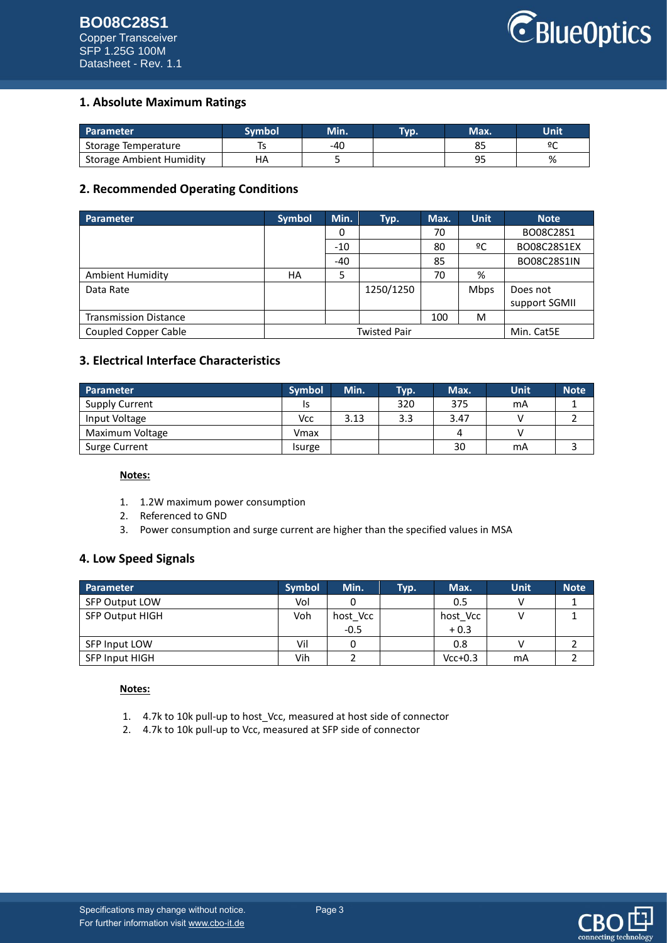# **BO08C28S1**

Copper Transceiver SFP 1.25G 100M Datasheet - Rev. 1.1



## **1. Absolute Maximum Ratings**

| <b>Parameter</b>                | Svmbol | Min. | Typ. | Max. | Unit |
|---------------------------------|--------|------|------|------|------|
| Storage Temperature             |        | -40  |      |      | ٥٢   |
| <b>Storage Ambient Humidity</b> |        |      |      | ο٥   | %    |

## **2. Recommended Operating Conditions**

| Parameter                    | <b>Symbol</b>       | Min.  | Typ.      | Max. | <b>Unit</b> | <b>Note</b>   |
|------------------------------|---------------------|-------|-----------|------|-------------|---------------|
|                              |                     | 0     |           | 70   |             | BO08C28S1     |
|                              |                     | $-10$ |           | 80   | ºC          | BO08C28S1EX   |
|                              |                     | -40   |           | 85   |             | BO08C28S1IN   |
| Ambient Humidity             | HA                  | 5     |           | 70   | %           |               |
| Data Rate                    |                     |       | 1250/1250 |      | <b>Mbps</b> | Does not      |
|                              |                     |       |           |      |             | support SGMII |
| <b>Transmission Distance</b> |                     |       |           | 100  | M           |               |
| <b>Coupled Copper Cable</b>  | <b>Twisted Pair</b> |       |           |      |             | Min. Cat5E    |

## **3. Electrical Interface Characteristics**

| Parameter       | <b>Symbol</b> | Min. | Typ. | Max. | <b>Unit</b> | <b>Note</b> |
|-----------------|---------------|------|------|------|-------------|-------------|
| Supply Current  |               |      | 320  | 375  | mA          |             |
| Input Voltage   | Vcc           | 3.13 | 3.3  | 3.47 |             |             |
| Maximum Voltage | Vmax          |      |      |      |             |             |
| Surge Current   | Isurge        |      |      | 30   | mA          |             |

### **Notes:**

- 1. 1.2W maximum power consumption
- 2. Referenced to GND
- 3. Power consumption and surge current are higher than the specified values in MSA

## **4. Low Speed Signals**

| <b>Parameter</b>       | <b>Symbol</b> | Min.     | Тур. | Max.      | Unit | Note <sup>1</sup> |
|------------------------|---------------|----------|------|-----------|------|-------------------|
| <b>SFP Output LOW</b>  | Vol           |          |      | 0.5       |      |                   |
| <b>SFP Output HIGH</b> | Voh           | host Vcc |      | host Vcc  |      |                   |
|                        |               | $-0.5$   |      | $+0.3$    |      |                   |
| SFP Input LOW          | Vil           |          |      | 0.8       |      |                   |
| <b>SFP Input HIGH</b>  | Vih           |          |      | $Vcc+0.3$ | mA   |                   |

#### **Notes:**

- 1. 4.7k to 10k pull-up to host\_Vcc, measured at host side of connector
- 2. 4.7k to 10k pull-up to Vcc, measured at SFP side of connector

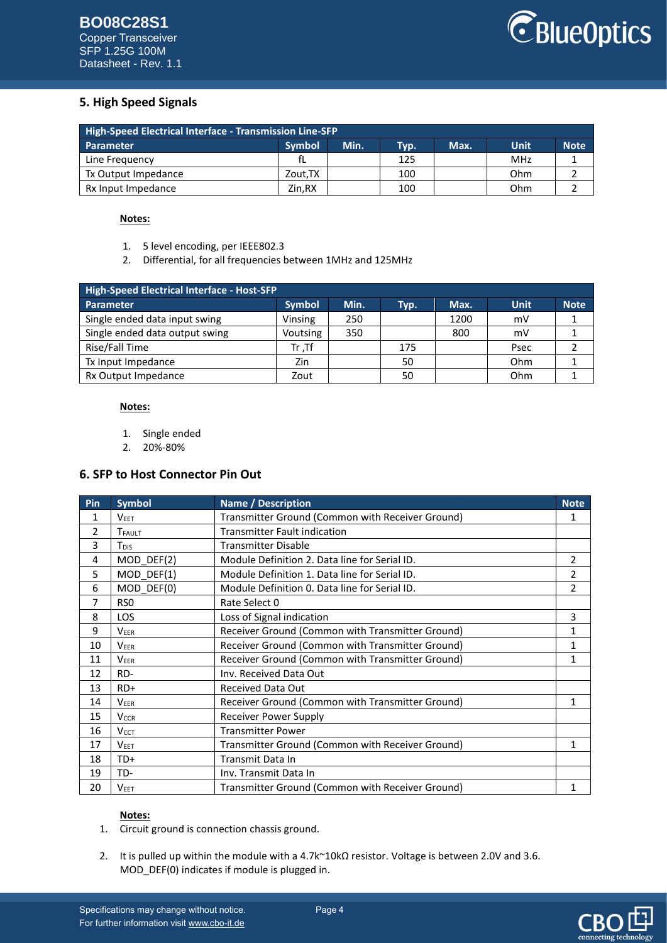

## **5. High Speed Signals**

| <b>High-Speed Electrical Interface - Transmission Line-SFP</b> |               |      |      |      |      |             |  |
|----------------------------------------------------------------|---------------|------|------|------|------|-------------|--|
| <b>Parameter</b>                                               | <b>Symbol</b> | Min. | Typ. | Max. | Unit | <b>Note</b> |  |
| Line Frequency                                                 | fL            |      | 125  |      | MHz  |             |  |
| Tx Output Impedance                                            | Zout.TX       |      | 100  |      | Ohm  |             |  |
| Rx Input Impedance                                             | Zin.RX        |      | 100  |      | Ohm  |             |  |

### **Notes:**

- 1. 5 level encoding, per IEEE802.3
- 2. Differential, for all frequencies between 1MHz and 125MHz

| High-Speed Electrical Interface - Host-SFP |               |      |      |      |             |             |  |
|--------------------------------------------|---------------|------|------|------|-------------|-------------|--|
| Parameter                                  | <b>Symbol</b> | Min. | Typ. | Max. | <b>Unit</b> | <b>Note</b> |  |
| Single ended data input swing              | Vinsing       | 250  |      | 1200 | mV          |             |  |
| Single ended data output swing             | Voutsing      | 350  |      | 800  | mV          |             |  |
| Rise/Fall Time                             | $Tr$ .Tf      |      | 175  |      | Psec        |             |  |
| Tx Input Impedance                         | Zin           |      | 50   |      | Ohm         |             |  |
| Rx Output Impedance                        | Zout          |      | 50   |      | Ohm         |             |  |

#### **Notes:**

- 1. Single ended
- 2. 20%-80%

## **6. SFP to Host Connector Pin Out**

| Pin | <b>Symbol</b>           | <b>Name / Description</b>                        | <b>Note</b>    |
|-----|-------------------------|--------------------------------------------------|----------------|
| 1   | <b>VEET</b>             | Transmitter Ground (Common with Receiver Ground) | 1              |
| 2   | TFAULT                  | <b>Transmitter Fault indication</b>              |                |
| 3   | T <sub>DIS</sub>        | <b>Transmitter Disable</b>                       |                |
| 4   | MOD DEF(2)              | Module Definition 2. Data line for Serial ID.    | 2              |
| 5   | MOD DEF(1)              | Module Definition 1. Data line for Serial ID.    | 2              |
| 6   | MOD DEF(0)              | Module Definition 0. Data line for Serial ID.    | $\mathfrak{p}$ |
| 7   | RS <sub>0</sub>         | Rate Select 0                                    |                |
| 8   | <b>LOS</b>              | Loss of Signal indication                        | 3              |
| 9   | <b>VEER</b>             | Receiver Ground (Common with Transmitter Ground) | 1              |
| 10  | <b>VEER</b>             | Receiver Ground (Common with Transmitter Ground) | 1              |
| 11  | <b>VEER</b>             | Receiver Ground (Common with Transmitter Ground) | 1              |
| 12  | RD-                     | Inv. Received Data Out                           |                |
| 13  | $RD+$                   | <b>Received Data Out</b>                         |                |
| 14  | <b>VEER</b>             | Receiver Ground (Common with Transmitter Ground) | 1              |
| 15  | <b>V<sub>CCR</sub></b>  | <b>Receiver Power Supply</b>                     |                |
| 16  | <b>V</b> <sub>CCT</sub> | <b>Transmitter Power</b>                         |                |
| 17  | <b>VEET</b>             | Transmitter Ground (Common with Receiver Ground) | 1              |
| 18  | TD+                     | Transmit Data In                                 |                |
| 19  | TD-                     | Inv. Transmit Data In                            |                |
| 20  | <b>VEET</b>             | Transmitter Ground (Common with Receiver Ground) | 1              |

### **Notes:**

- 1. Circuit ground is connection chassis ground.
- 2. It is pulled up within the module with a 4.7k~10kΩ resistor. Voltage is between 2.0V and 3.6. MOD\_DEF(0) indicates if module is plugged in.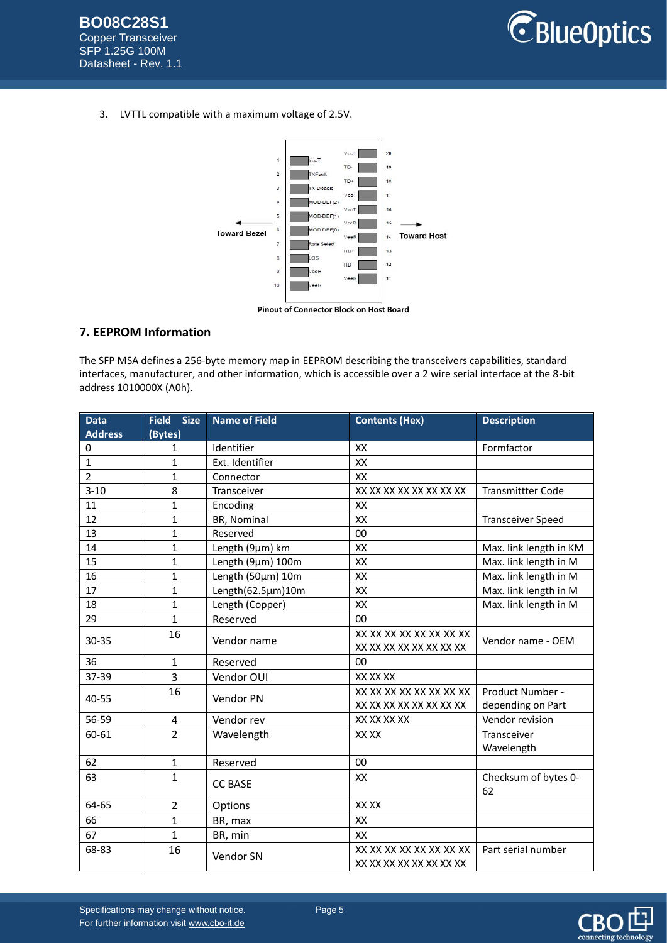

3. LVTTL compatible with a maximum voltage of 2.5V.



## **7. EEPROM Information**

The SFP MSA defines a 256-byte memory map in EEPROM describing the transceivers capabilities, standard interfaces, manufacturer, and other information, which is accessible over a 2 wire serial interface at the 8-bit address 1010000X (A0h).

| <b>Data</b>    | <b>Size</b><br><b>Field</b> | <b>Name of Field</b> | <b>Contents (Hex)</b>                              | <b>Description</b>                    |
|----------------|-----------------------------|----------------------|----------------------------------------------------|---------------------------------------|
| <b>Address</b> | (Bytes)                     |                      |                                                    |                                       |
| 0              | 1                           | Identifier           | XX                                                 | Formfactor                            |
| 1              | 1                           | Ext. Identifier      | XX                                                 |                                       |
| $\overline{2}$ | $\mathbf{1}$                | Connector            | XX                                                 |                                       |
| $3 - 10$       | 8                           | Transceiver          | XX XX XX XX XX XX XX XX                            | <b>Transmittter Code</b>              |
| 11             | 1                           | Encoding             | XX                                                 |                                       |
| 12             | 1                           | BR, Nominal          | XX                                                 | <b>Transceiver Speed</b>              |
| 13             | $\mathbf{1}$                | Reserved             | 00                                                 |                                       |
| 14             | $\mathbf{1}$                | Length (9µm) km      | XX                                                 | Max. link length in KM                |
| 15             | $\mathbf{1}$                | Length (9µm) 100m    | XX                                                 | Max. link length in M                 |
| 16             | 1                           | Length (50µm) 10m    | XX                                                 | Max. link length in M                 |
| 17             | $\mathbf{1}$                | Length(62.5µm)10m    | XX                                                 | Max. link length in M                 |
| 18             | 1                           | Length (Copper)      | XX                                                 | Max. link length in M                 |
| 29             | $\mathbf{1}$                | Reserved             | 00                                                 |                                       |
| 30-35          | 16                          | Vendor name          | XX XX XX XX XX XX XX XX<br>XX XX XX XX XX XX XX XX | Vendor name - OEM                     |
| 36             | $\mathbf{1}$                | Reserved             | 00                                                 |                                       |
| 37-39          | 3                           | Vendor OUI           | XX XX XX                                           |                                       |
| 40-55          | 16                          | Vendor PN            | XX XX XX XX XX XX XX XX<br>XX XX XX XX XX XX XX XX | Product Number -<br>depending on Part |
| 56-59          | 4                           | Vendor rev           | XX XX XX XX                                        | Vendor revision                       |
| 60-61          | $\overline{2}$              | Wavelength           | XX XX                                              | Transceiver<br>Wavelength             |
| 62             | $\mathbf{1}$                | Reserved             | 00                                                 |                                       |
| 63             | $\mathbf{1}$                | <b>CC BASE</b>       | XX                                                 | Checksum of bytes 0-<br>62            |
| 64-65          | $\overline{2}$              | Options              | XX XX                                              |                                       |
| 66             | $\mathbf{1}$                | BR, max              | XX                                                 |                                       |
| 67             | $\mathbf{1}$                | BR, min              | XX                                                 |                                       |
| 68-83          | 16                          | Vendor SN            | XX XX XX XX XX XX XX XX<br>XX XX XX XX XX XX XX XX | Part serial number                    |